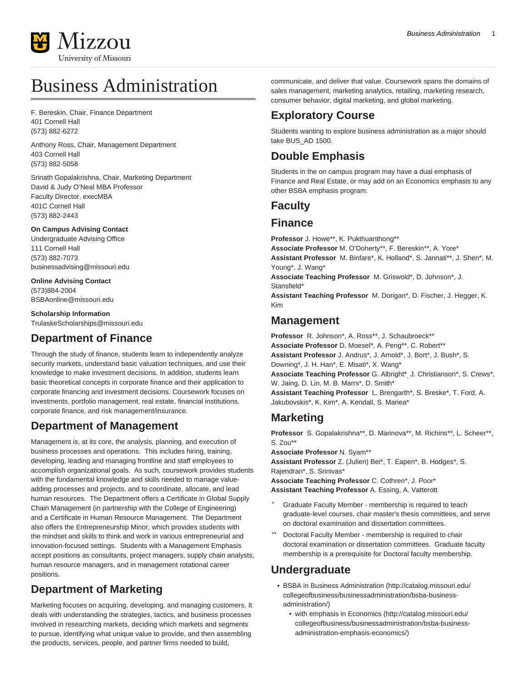

# Business Administration

F. Bereskin, Chair, Finance Department 401 Cornell Hall (573) 882-6272

Anthony Ross, Chair, Management Department 403 Cornell Hall (573) 882-5058

Srinath Gopalakrishna, Chair, Marketing Department David & Judy O'Neal MBA Professor Faculty Director, execMBA 401C Cornell Hall (573) 882-2443

#### **On Campus Advising Contact**

Undergraduate Advising Office 111 Cornell Hall (573) 882-7073 [businessadvising@missouri.edu](mailto:businessadvising@missouri.edu)

#### **Online Advising Contact** (573)884-2004

[BSBAonline@missouri.edu](mailto:BSBAonline@missouri.edu)

**Scholarship Information** [TrulaskeScholarships@missouri.edu](mailto:TrulaskeScholarships@missouri.edu)

# **Department of Finance**

Through the study of finance, students learn to independently analyze security markets, understand basic valuation techniques, and use their knowledge to make investment decisions. In addition, students learn basic theoretical concepts in corporate finance and their application to corporate financing and investment decisions. Coursework focuses on investments, portfolio management, real estate, financial institutions, corporate finance, and risk management/insurance.

# **Department of Management**

Management is, at its core, the analysis, planning, and execution of business processes and operations. This includes hiring, training, developing, leading and managing frontline and staff employees to accomplish organizational goals. As such, coursework provides students with the fundamental knowledge and skills needed to manage valueadding processes and projects, and to coordinate, allocate, and lead human resources. The Department offers a Certificate in Global Supply Chain Management (in partnership with the College of Engineering) and a Certificate in Human Resource Management. The Department also offers the Entrepreneurship Minor, which provides students with the mindset and skills to think and work in various entrepreneurial and innovation-focused settings. Students with a Management Emphasis accept positions as consultants, project managers, supply chain analysts, human resource managers, and in management rotational career positions.

# **Department of Marketing**

Marketing focuses on acquiring, developing, and managing customers. It deals with understanding the strategies, tactics, and business processes involved in researching markets, deciding which markets and segments to pursue, identifying what unique value to provide, and then assembling the products, services, people, and partner firms needed to build,

communicate, and deliver that value. Coursework spans the domains of sales management, marketing analytics, retailing, marketing research, consumer behavior, digital marketing, and global marketing.

# **Exploratory Course**

Students wanting to explore business administration as a major should take BUS\_AD 1500.

# **Double Emphasis**

Students in the on campus program may have a dual emphasis of Finance and Real Estate, or may add on an Economics emphasis to any other BSBA emphasis program.

# **Faculty**

### **Finance**

**Professor** J. Howe\*\*, K. Pukthuanthong\*\* **Associate Professor** M. O'Doherty\*\*, F. Bereskin\*\*, A. Yore\* **Assistant Professor** M. Binfare\*, K. Holland\*, S. Jannati\*\*, J. Shen\*, M. Young\*, J. Wang\* **Associate Teaching Professor** M. Griswold\*, D. Johnson\*, J. Stansfield\* **Assistant Teaching Professor** M. Dorigan\*, D. Fischer, J. Hegger, K. Kim

# **Management**

**Professor** R. Johnson\*, A. Ross\*\*, J. Schaubroeck\*\* **Associate Professor** D. Moesel\*, A. Peng\*\*, C. Robert\*\* **Assistant Professor** J. Andrus\*, J. Arnold\*, J. Bort\*, J. Bush\*, S. Downing\*, J. H. Han\*, E. Misati\*, X. Wang\* **Associate Teaching Professor** G. Albright\*, J. Christianson\*, S. Crews\*, W. Jaing, D. Lin, M. B. Marrs\*, D. Smith\* **Assistant Teaching Professor** L. Brengarth\*, S. Breske\*, T. Ford, A. Jakubovskis\*, K. Kim\*, A. Kendall, S. Mariea\*

# **Marketing**

**Professor** S. Gopalakrishna\*\*, D. Marinova\*\*, M. Richins\*\*, L. Scheer\*\*, S. Zou\*\*

**Associate Professor** N. Syam\*\*

**Assistant Professor** Z. (Julien) Bei\*, T. Eapen\*, B. Hodges\*, S. Rajendran\*, S. Srinivas\*

**Associate Teaching Professor** C. Cothren\*, J. Poor\* **Assistant Teaching Professor** A. Essing, A. Vatterott

- Graduate Faculty Member membership is required to teach graduate-level courses, chair master's thesis committees, and serve on doctoral examination and dissertation committees.
- Doctoral Faculty Member membership is required to chair doctoral examination or dissertation committees. Graduate faculty membership is a prerequisite for Doctoral faculty membership.

# **Undergraduate**

- [BSBA in Business Administration](http://catalog.missouri.edu/collegeofbusiness/businessadministration/bsba-business-administration/) [\(http://catalog.missouri.edu/](http://catalog.missouri.edu/collegeofbusiness/businessadministration/bsba-business-administration/) [collegeofbusiness/businessadministration/bsba-business](http://catalog.missouri.edu/collegeofbusiness/businessadministration/bsba-business-administration/)[administration/](http://catalog.missouri.edu/collegeofbusiness/businessadministration/bsba-business-administration/))
	- [with emphasis in Economics](http://catalog.missouri.edu/collegeofbusiness/businessadministration/bsba-business-administration-emphasis-economics/) [\(http://catalog.missouri.edu/](http://catalog.missouri.edu/collegeofbusiness/businessadministration/bsba-business-administration-emphasis-economics/) [collegeofbusiness/businessadministration/bsba-business](http://catalog.missouri.edu/collegeofbusiness/businessadministration/bsba-business-administration-emphasis-economics/)[administration-emphasis-economics/\)](http://catalog.missouri.edu/collegeofbusiness/businessadministration/bsba-business-administration-emphasis-economics/)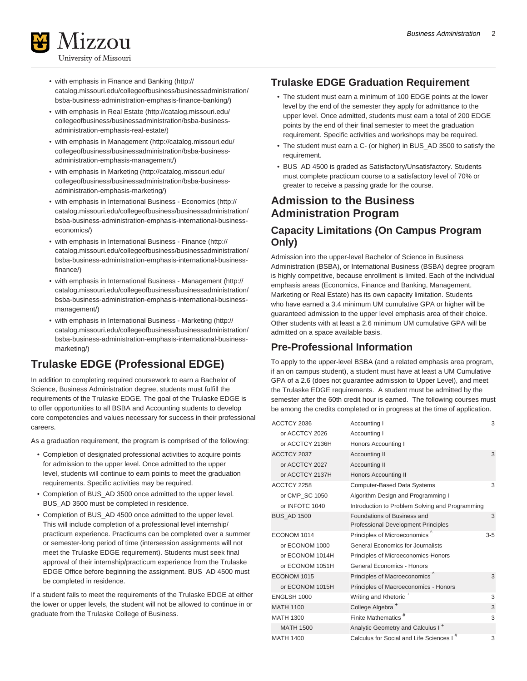

- 
- [with emphasis in Finance and Banking \(http://](http://catalog.missouri.edu/collegeofbusiness/businessadministration/bsba-business-administration-emphasis-finance-banking/) [catalog.missouri.edu/collegeofbusiness/businessadministration/](http://catalog.missouri.edu/collegeofbusiness/businessadministration/bsba-business-administration-emphasis-finance-banking/) [bsba-business-administration-emphasis-finance-banking/](http://catalog.missouri.edu/collegeofbusiness/businessadministration/bsba-business-administration-emphasis-finance-banking/))
- [with emphasis in Real Estate](http://catalog.missouri.edu/collegeofbusiness/businessadministration/bsba-business-administration-emphasis-real-estate/) ([http://catalog.missouri.edu/](http://catalog.missouri.edu/collegeofbusiness/businessadministration/bsba-business-administration-emphasis-real-estate/) [collegeofbusiness/businessadministration/bsba-business](http://catalog.missouri.edu/collegeofbusiness/businessadministration/bsba-business-administration-emphasis-real-estate/)[administration-emphasis-real-estate/](http://catalog.missouri.edu/collegeofbusiness/businessadministration/bsba-business-administration-emphasis-real-estate/))
- [with emphasis in Management](http://catalog.missouri.edu/collegeofbusiness/businessadministration/bsba-business-administration-emphasis-management/) ([http://catalog.missouri.edu/](http://catalog.missouri.edu/collegeofbusiness/businessadministration/bsba-business-administration-emphasis-management/) [collegeofbusiness/businessadministration/bsba-business](http://catalog.missouri.edu/collegeofbusiness/businessadministration/bsba-business-administration-emphasis-management/)[administration-emphasis-management/](http://catalog.missouri.edu/collegeofbusiness/businessadministration/bsba-business-administration-emphasis-management/))
- [with emphasis in Marketing](http://catalog.missouri.edu/collegeofbusiness/businessadministration/bsba-business-administration-emphasis-marketing/) [\(http://catalog.missouri.edu/](http://catalog.missouri.edu/collegeofbusiness/businessadministration/bsba-business-administration-emphasis-marketing/) [collegeofbusiness/businessadministration/bsba-business](http://catalog.missouri.edu/collegeofbusiness/businessadministration/bsba-business-administration-emphasis-marketing/)[administration-emphasis-marketing/\)](http://catalog.missouri.edu/collegeofbusiness/businessadministration/bsba-business-administration-emphasis-marketing/)
- [with emphasis in International Business Economics](http://catalog.missouri.edu/collegeofbusiness/businessadministration/bsba-business-administration-emphasis-international-business-economics/) [\(http://](http://catalog.missouri.edu/collegeofbusiness/businessadministration/bsba-business-administration-emphasis-international-business-economics/) [catalog.missouri.edu/collegeofbusiness/businessadministration/](http://catalog.missouri.edu/collegeofbusiness/businessadministration/bsba-business-administration-emphasis-international-business-economics/) [bsba-business-administration-emphasis-international-business](http://catalog.missouri.edu/collegeofbusiness/businessadministration/bsba-business-administration-emphasis-international-business-economics/)[economics/](http://catalog.missouri.edu/collegeofbusiness/businessadministration/bsba-business-administration-emphasis-international-business-economics/))
- [with emphasis in International Business Finance](http://catalog.missouri.edu/collegeofbusiness/businessadministration/bsba-business-administration-emphasis-international-business-finance/) ([http://](http://catalog.missouri.edu/collegeofbusiness/businessadministration/bsba-business-administration-emphasis-international-business-finance/) [catalog.missouri.edu/collegeofbusiness/businessadministration/](http://catalog.missouri.edu/collegeofbusiness/businessadministration/bsba-business-administration-emphasis-international-business-finance/) [bsba-business-administration-emphasis-international-business](http://catalog.missouri.edu/collegeofbusiness/businessadministration/bsba-business-administration-emphasis-international-business-finance/)[finance/](http://catalog.missouri.edu/collegeofbusiness/businessadministration/bsba-business-administration-emphasis-international-business-finance/))
- [with emphasis in International Business Management](http://catalog.missouri.edu/collegeofbusiness/businessadministration/bsba-business-administration-emphasis-international-business-management/) ([http://](http://catalog.missouri.edu/collegeofbusiness/businessadministration/bsba-business-administration-emphasis-international-business-management/) [catalog.missouri.edu/collegeofbusiness/businessadministration/](http://catalog.missouri.edu/collegeofbusiness/businessadministration/bsba-business-administration-emphasis-international-business-management/) [bsba-business-administration-emphasis-international-business](http://catalog.missouri.edu/collegeofbusiness/businessadministration/bsba-business-administration-emphasis-international-business-management/)[management/\)](http://catalog.missouri.edu/collegeofbusiness/businessadministration/bsba-business-administration-emphasis-international-business-management/)
- [with emphasis in International Business Marketing](http://catalog.missouri.edu/collegeofbusiness/businessadministration/bsba-business-administration-emphasis-international-business-marketing/) [\(http://](http://catalog.missouri.edu/collegeofbusiness/businessadministration/bsba-business-administration-emphasis-international-business-marketing/) [catalog.missouri.edu/collegeofbusiness/businessadministration/](http://catalog.missouri.edu/collegeofbusiness/businessadministration/bsba-business-administration-emphasis-international-business-marketing/) [bsba-business-administration-emphasis-international-business](http://catalog.missouri.edu/collegeofbusiness/businessadministration/bsba-business-administration-emphasis-international-business-marketing/)[marketing/](http://catalog.missouri.edu/collegeofbusiness/businessadministration/bsba-business-administration-emphasis-international-business-marketing/))

# **Trulaske EDGE (Professional EDGE)**

In addition to completing required coursework to earn a Bachelor of Science, Business Administration degree, students must fulfill the requirements of the Trulaske EDGE. The goal of the Trulaske EDGE is to offer opportunities to all BSBA and Accounting students to develop core competencies and values necessary for success in their professional careers.

As a graduation requirement, the program is comprised of the following:

- Completion of designated professional activities to acquire points for admission to the upper level. Once admitted to the upper level, students will continue to earn points to meet the graduation requirements. Specific activities may be required.
- Completion of BUS\_AD 3500 once admitted to the upper level. BUS\_AD 3500 must be completed in residence.
- Completion of BUS\_AD 4500 once admitted to the upper level. This will include completion of a professional level internship/ practicum experience. Practicums can be completed over a summer or semester-long period of time (intersession assignments will not meet the Trulaske EDGE requirement). Students must seek final approval of their internship/practicum experience from the Trulaske EDGE Office before beginning the assignment. BUS\_AD 4500 must be completed in residence.

If a student fails to meet the requirements of the Trulaske EDGE at either the lower or upper levels, the student will not be allowed to continue in or graduate from the Trulaske College of Business.

### **Trulaske EDGE Graduation Requirement**

- The student must earn a minimum of 100 EDGE points at the lower level by the end of the semester they apply for admittance to the upper level. Once admitted, students must earn a total of 200 EDGE points by the end of their final semester to meet the graduation requirement. Specific activities and workshops may be required.
- The student must earn a C- (or higher) in BUS\_AD 3500 to satisfy the requirement.
- BUS\_AD 4500 is graded as Satisfactory/Unsatisfactory. Students must complete practicum course to a satisfactory level of 70% or greater to receive a passing grade for the course.

# **Admission to the Business Administration Program**

### **Capacity Limitations (On Campus Program Only)**

Admission into the upper-level Bachelor of Science in Business Administration (BSBA), or International Business (BSBA) degree program is highly competitive, because enrollment is limited. Each of the individual emphasis areas (Economics, Finance and Banking, Management, Marketing or Real Estate) has its own capacity limitation. Students who have earned a 3.4 minimum UM cumulative GPA or higher will be guaranteed admission to the upper level emphasis area of their choice. Other students with at least a 2.6 minimum UM cumulative GPA will be admitted on a space available basis.

# **Pre-Professional Information**

To apply to the upper-level BSBA (and a related emphasis area program, if an on campus student), a student must have at least a UM Cumulative GPA of a 2.6 (does not guarantee admission to Upper Level), and meet the Trulaske EDGE requirements. A student must be admitted by the semester after the 60th credit hour is earned. The following courses must be among the credits completed or in progress at the time of application.

| ACCTCY 2036        | Accounting I                                                       | 3       |
|--------------------|--------------------------------------------------------------------|---------|
| or ACCTCY 2026     | Accounting I                                                       |         |
| or ACCTCY 2136H    | Honors Accounting I                                                |         |
| ACCTCY 2037        | Accounting II                                                      | 3       |
| or ACCTCY 2027     | <b>Accounting II</b>                                               |         |
| or ACCTCY 2137H    | <b>Honors Accounting II</b>                                        |         |
| ACCTCY 2258        | Computer-Based Data Systems                                        | 3       |
| or CMP_SC 1050     | Algorithm Design and Programming I                                 |         |
| or INFOTC 1040     | Introduction to Problem Solving and Programming                    |         |
| <b>BUS AD 1500</b> | Foundations of Business and<br>Professional Development Principles | 3       |
| ECONOM 1014        | Principles of Microeconomics                                       | $3 - 5$ |
| or ECONOM 1000     | General Economics for Journalists                                  |         |
| or ECONOM 1014H    | Principles of Microeconomics-Honors                                |         |
| or ECONOM 1051H    | General Economics - Honors                                         |         |
| ECONOM 1015        | Principles of Macroeconomics                                       | 3       |
| or ECONOM 1015H    | Principles of Macroeconomics - Honors                              |         |
| ENGLSH 1000        | Writing and Rhetoric <sup>+</sup>                                  | 3       |
| <b>MATH 1100</b>   | College Algebra <sup>+</sup>                                       | 3       |
| <b>MATH 1300</b>   | Finite Mathematics <sup>#</sup>                                    | 3       |
| <b>MATH 1500</b>   | Analytic Geometry and Calculus I <sup>+</sup>                      |         |
| <b>MATH 1400</b>   | Calculus for Social and Life Sciences I                            | 3       |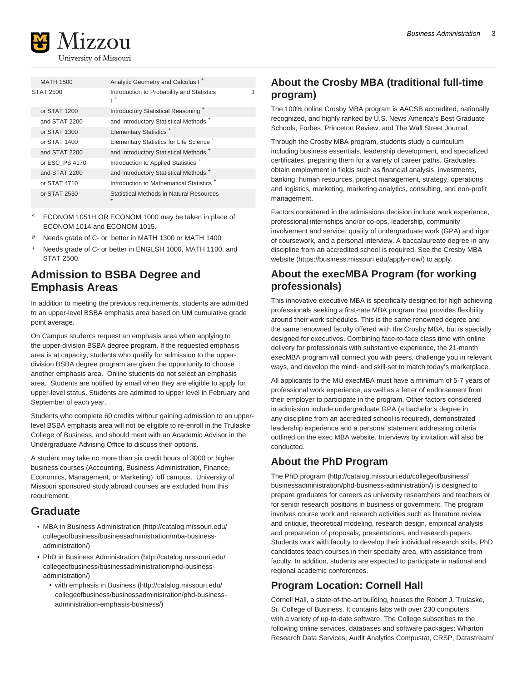

University of Missouri

|  | <b>MATH 1500</b> | Analytic Geometry and Calculus I <sup>+</sup>                |   |
|--|------------------|--------------------------------------------------------------|---|
|  | <b>STAT 2500</b> | Introduction to Probability and Statistics<br>$\mathsf{I}^+$ | 3 |
|  | or STAT 1200     | Introductory Statistical Reasoning <sup>+</sup>              |   |
|  | and STAT 2200    | and Introductory Statistical Methods <sup>+</sup>            |   |
|  | or STAT 1300     | Elementary Statistics <sup>+</sup>                           |   |
|  | or STAT 1400     | Elementary Statistics for Life Science <sup>+</sup>          |   |
|  | and STAT 2200    | and Introductory Statistical Methods <sup>+</sup>            |   |
|  | or ESC PS 4170   | Introduction to Applied Statistics <sup>+</sup>              |   |
|  | and STAT 2200    | and Introductory Statistical Methods <sup>+</sup>            |   |
|  | or STAT 4710     | Introduction to Mathematical Statistics <sup>+</sup>         |   |
|  | or STAT 2530     | Statistical Methods in Natural Resources<br>$\ddot{}$        |   |

- ECONOM 1051H OR ECONOM 1000 may be taken in place of ECONOM 1014 and ECONOM 1015.
- # Needs grade of C- or better in MATH 1300 or MATH 1400
- + Needs grade of C- or better in ENGLSH 1000, MATH 1100, and STAT 2500.

# **Admission to BSBA Degree and Emphasis Areas**

In addition to meeting the previous requirements, students are admitted to an upper-level BSBA emphasis area based on UM cumulative grade point average.

On Campus students request an emphasis area when applying to the upper-division BSBA degree program. If the requested emphasis area is at capacity, students who qualify for admission to the upperdivision BSBA degree program are given the opportunity to choose another emphasis area. Online students do not select an emphasis area. Students are notified by email when they are eligible to apply for upper-level status. Students are admitted to upper level in February and September of each year.

Students who complete 60 credits without gaining admission to an upperlevel BSBA emphasis area will not be eligible to re-enroll in the Trulaske College of Business, and should meet with an Academic Advisor in the Undergraduate Advising Office to discuss their options.

A student may take no more than six credit hours of 3000 or higher business courses (Accounting, Business Administration, Finance, Economics, Management, or Marketing) off campus. University of Missouri sponsored study abroad courses are excluded from this requirement.

# **Graduate**

- [MBA in Business Administration](http://catalog.missouri.edu/collegeofbusiness/businessadministration/mba-business-administration/) [\(http://catalog.missouri.edu/](http://catalog.missouri.edu/collegeofbusiness/businessadministration/mba-business-administration/) [collegeofbusiness/businessadministration/mba-business](http://catalog.missouri.edu/collegeofbusiness/businessadministration/mba-business-administration/)[administration/](http://catalog.missouri.edu/collegeofbusiness/businessadministration/mba-business-administration/))
- [PhD in Business Administration \(http://catalog.missouri.edu/](http://catalog.missouri.edu/collegeofbusiness/businessadministration/phd-business-administration/) [collegeofbusiness/businessadministration/phd-business](http://catalog.missouri.edu/collegeofbusiness/businessadministration/phd-business-administration/)[administration/](http://catalog.missouri.edu/collegeofbusiness/businessadministration/phd-business-administration/))
	- [with emphasis in Business](http://catalog.missouri.edu/collegeofbusiness/businessadministration/phd-business-administration-emphasis-business/) ([http://catalog.missouri.edu/](http://catalog.missouri.edu/collegeofbusiness/businessadministration/phd-business-administration-emphasis-business/) [collegeofbusiness/businessadministration/phd-business](http://catalog.missouri.edu/collegeofbusiness/businessadministration/phd-business-administration-emphasis-business/)[administration-emphasis-business/](http://catalog.missouri.edu/collegeofbusiness/businessadministration/phd-business-administration-emphasis-business/))

# **About the Crosby MBA (traditional full-time program)**

The 100% online Crosby MBA program is AACSB accredited, nationally recognized, and highly ranked by U.S. News America's Best Graduate Schools, Forbes, Princeton Review, and The Wall Street Journal.

Through the Crosby MBA program, students study a curriculum including business essentials, leadership development, and specialized certificates, preparing them for a variety of career paths. Graduates obtain employment in fields such as financial analysis, investments, banking, human resources, project management, strategy, operations and logistics, marketing, marketing analytics, consulting, and non-profit management.

Factors considered in the admissions decision include work experience, professional internships and/or co-ops, leadership, community involvement and service, quality of undergraduate work (GPA) and rigor of coursework, and a personal interview. A baccalaureate degree in any discipline from an accredited school is required. See the [Crosby MBA](https://business.missouri.edu/apply-now/) [website](https://business.missouri.edu/apply-now/) [\(https://business.missouri.edu/apply-now/](https://business.missouri.edu/apply-now/)) to apply.

### **About the execMBA Program (for working professionals)**

This innovative executive MBA is specifically designed for high achieving professionals seeking a first-rate MBA program that provides flexibility around their work schedules. This is the same renowned degree and the same renowned faculty offered with the Crosby MBA, but is specially designed for executives. Combining face-to-face class time with online delivery for professionals with substantive experience, the 21-month execMBA program will connect you with peers, challenge you in relevant ways, and develop the mind- and skill-set to match today's marketplace.

All applicants to the MU execMBA must have a minimum of 5-7 years of professional work experience, as well as a letter of endorsement from their employer to participate in the program. Other factors considered in admission include undergraduate GPA (a bachelor's degree in any discipline from an accredited school is required), demonstrated leadership experience and a personal statement addressing criteria outlined on the exec MBA website. Interviews by invitation will also be conducted.

# **About the PhD Program**

The [PhD program \(http://catalog.missouri.edu/collegeofbusiness/](http://catalog.missouri.edu/collegeofbusiness/businessadministration/phd-business-administration/) [businessadministration/phd-business-administration/\)](http://catalog.missouri.edu/collegeofbusiness/businessadministration/phd-business-administration/) is designed to prepare graduates for careers as university researchers and teachers or for senior research positions in business or government. The program involves course work and research activities such as literature review and critique, theoretical modeling, research design, empirical analysis and preparation of proposals, presentations, and research papers. Students work with faculty to develop their individual research skills. PhD candidates teach courses in their specialty area, with assistance from faculty. In addition, students are expected to participate in national and regional academic conferences.

# **Program Location: Cornell Hall**

Cornell Hall, a state-of-the-art building, houses the Robert J. Trulaske, Sr. College of Business. It contains labs with over 230 computers with a variety of up-to-date software. The College subscribes to the following online services, databases and software packages: Wharton Research Data Services, Audit Analytics Compustat, CRSP, Datastream/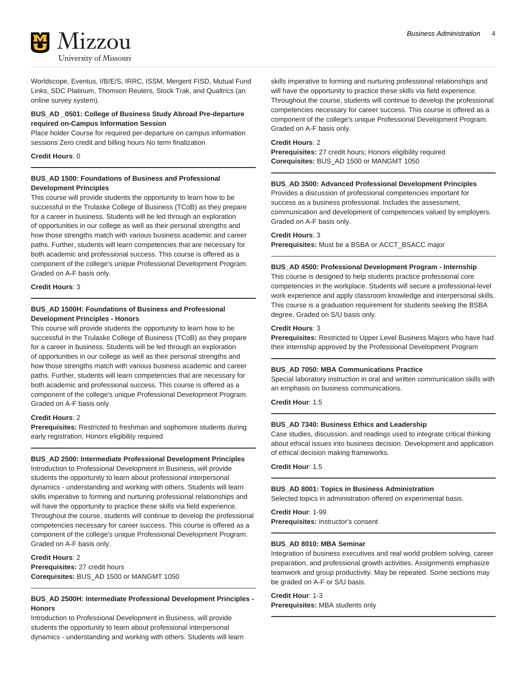

Worldscope, Eventus, I/B/E/S, IRRC, ISSM, Mergent FISD, Mutual Fund Links, SDC Platinum, Thomson Reuters, Stock Trak, and Qualtrics (an online survey system).

#### **BUS\_AD \_0501: College of Business Study Abroad Pre-departure required on-Campus Information Session**

Place holder Course for required per-departure on campus information sessions Zero credit and billing hours No term finalization

#### **Credit Hours**: 0

#### **BUS\_AD 1500: Foundations of Business and Professional Development Principles**

This course will provide students the opportunity to learn how to be successful in the Trulaske College of Business (TCoB) as they prepare for a career in business. Students will be led through an exploration of opportunities in our college as well as their personal strengths and how those strengths match with various business academic and career paths. Further, students will learn competencies that are necessary for both academic and professional success. This course is offered as a component of the college's unique Professional Development Program. Graded on A-F basis only.

#### **Credit Hours**: 3

#### **BUS\_AD 1500H: Foundations of Business and Professional Development Principles - Honors**

This course will provide students the opportunity to learn how to be successful in the Trulaske College of Business (TCoB) as they prepare for a career in business. Students will be led through an exploration of opportunities in our college as well as their personal strengths and how those strengths match with various business academic and career paths. Further, students will learn competencies that are necessary for both academic and professional success. This course is offered as a component of the college's unique Professional Development Program. Graded on A-F basis only.

#### **Credit Hours**: 2

**Prerequisites:** Restricted to freshman and sophomore students during early registration; Honors eligibility required

#### **BUS\_AD 2500: Intermediate Professional Development Principles**

Introduction to Professional Development in Business, will provide students the opportunity to learn about professional interpersonal dynamics - understanding and working with others. Students will learn skills imperative to forming and nurturing professional relationships and will have the opportunity to practice these skills via field experience. Throughout the course, students will continue to develop the professional competencies necessary for career success. This course is offered as a component of the college's unique Professional Development Program. Graded on A-F basis only.

**Credit Hours**: 2 **Prerequisites:** 27 credit hours **Corequisites:** BUS\_AD 1500 or MANGMT 1050

#### **BUS\_AD 2500H: Intermediate Professional Development Principles - Honors**

Introduction to Professional Development in Business, will provide students the opportunity to learn about professional interpersonal dynamics - understanding and working with others. Students will learn skills imperative to forming and nurturing professional relationships and will have the opportunity to practice these skills via field experience. Throughout the course, students will continue to develop the professional competencies necessary for career success. This course is offered as a component of the college's unique Professional Development Program. Graded on A-F basis only.

#### **Credit Hours**: 2

**Prerequisites:** 27 credit hours; Honors eligibility required **Corequisites:** BUS\_AD 1500 or MANGMT 1050

#### **BUS\_AD 3500: Advanced Professional Development Principles**

Provides a discussion of professional competencies important for success as a business professional. Includes the assessment, communication and development of competencies valued by employers. Graded on A-F basis only.

#### **Credit Hours**: 3

**Prerequisites:** Must be a BSBA or ACCT\_BSACC major

#### **BUS\_AD 4500: Professional Development Program - Internship**

This course is designed to help students practice professional core competencies in the workplace. Students will secure a professional-level work experience and apply classroom knowledge and interpersonal skills. This course is a graduation requirement for students seeking the BSBA degree. Graded on S/U basis only.

#### **Credit Hours**: 3

**Prerequisites:** Restricted to Upper Level Business Majors who have had their internship approved by the Professional Development Program

#### **BUS\_AD 7050: MBA Communications Practice**

Special laboratory instruction in oral and written communication skills with an emphasis on business communications.

**Credit Hour**: 1.5

#### **BUS\_AD 7340: Business Ethics and Leadership**

Case studies, discussion, and readings used to integrate critical thinking about ethical issues into business decision. Development and application of ethical decision making frameworks.

#### **Credit Hour**: 1.5

#### **BUS\_AD 8001: Topics in Business Administration**

Selected topics in administration offered on experimental basis.

#### **Credit Hour**: 1-99

**Prerequisites:** instructor's consent

#### **BUS\_AD 8010: MBA Seminar**

Integration of business executives and real world problem solving, career preparation, and professional growth activities. Assignments emphasize teamwork and group productivity. May be repeated. Some sections may be graded on A-F or S/U basis.

# **Credit Hour**: 1-3

**Prerequisites:** MBA students only